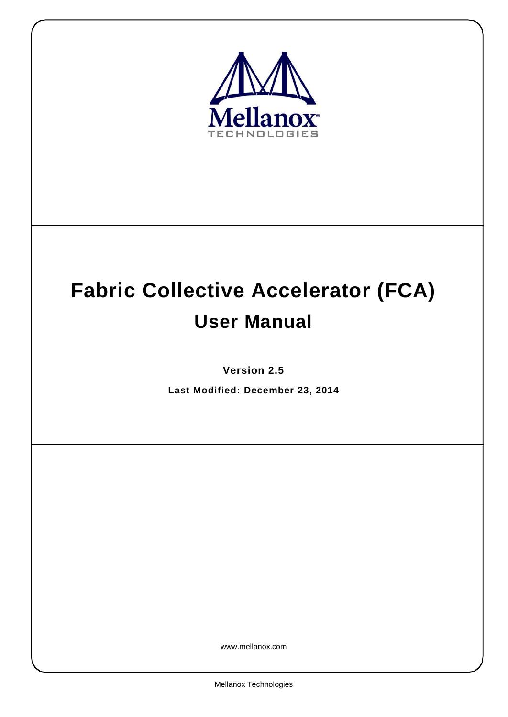

# **Fabric Collective Accelerator (FCA) User Manual**

**Version 2.5**

**Last Modified: December 23, 2014**

www.mellanox.com

Mellanox Technologies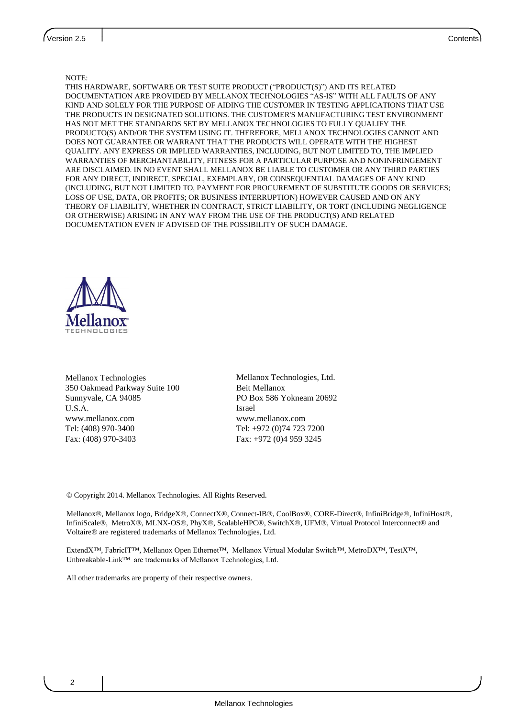#### NOTE:

THIS HARDWARE, SOFTWARE OR TEST SUITE PRODUCT ("PRODUCT(S)") AND ITS RELATED DOCUMENTATION ARE PROVIDED BY MELLANOX TECHNOLOGIES "AS-IS" WITH ALL FAULTS OF ANY KIND AND SOLELY FOR THE PURPOSE OF AIDING THE CUSTOMER IN TESTING APPLICATIONS THAT USE THE PRODUCTS IN DESIGNATED SOLUTIONS. THE CUSTOMER'S MANUFACTURING TEST ENVIRONMENT HAS NOT MET THE STANDARDS SET BY MELLANOX TECHNOLOGIES TO FULLY QUALIFY THE PRODUCTO(S) AND/OR THE SYSTEM USING IT. THEREFORE, MELLANOX TECHNOLOGIES CANNOT AND DOES NOT GUARANTEE OR WARRANT THAT THE PRODUCTS WILL OPERATE WITH THE HIGHEST QUALITY. ANY EXPRESS OR IMPLIED WARRANTIES, INCLUDING, BUT NOT LIMITED TO, THE IMPLIED WARRANTIES OF MERCHANTABILITY, FITNESS FOR A PARTICULAR PURPOSE AND NONINFRINGEMENT ARE DISCLAIMED. IN NO EVENT SHALL MELLANOX BE LIABLE TO CUSTOMER OR ANY THIRD PARTIES FOR ANY DIRECT, INDIRECT, SPECIAL, EXEMPLARY, OR CONSEQUENTIAL DAMAGES OF ANY KIND (INCLUDING, BUT NOT LIMITED TO, PAYMENT FOR PROCUREMENT OF SUBSTITUTE GOODS OR SERVICES; LOSS OF USE, DATA, OR PROFITS; OR BUSINESS INTERRUPTION) HOWEVER CAUSED AND ON ANY THEORY OF LIABILITY, WHETHER IN CONTRACT, STRICT LIABILITY, OR TORT (INCLUDING NEGLIGENCE OR OTHERWISE) ARISING IN ANY WAY FROM THE USE OF THE PRODUCT(S) AND RELATED DOCUMENTATION EVEN IF ADVISED OF THE POSSIBILITY OF SUCH DAMAGE.



Mellanox Technologies 350 Oakmead Parkway Suite 100 Sunnyvale, CA 94085 U.S.A. www.mellanox.com Tel: (408) 970-3400 Fax: (408) 970-3403

Mellanox Technologies, Ltd. Beit Mellanox PO Box 586 Yokneam 20692 Israel www.mellanox.com Tel: +972 (0)74 723 7200 Fax: +972 (0)4 959 3245

© Copyright 2014. Mellanox Technologies. All Rights Reserved.

Mellanox®, Mellanox logo, BridgeX®, ConnectX®, Connect-IB®, CoolBox®, CORE-Direct®, InfiniBridge®, InfiniHost®, InfiniScale®, MetroX®, MLNX-OS®, PhyX®, ScalableHPC®, SwitchX®, UFM®, Virtual Protocol Interconnect® and Voltaire® are registered trademarks of Mellanox Technologies, Ltd.

ExtendX™, FabricIT™, Mellanox Open Ethernet™, Mellanox Virtual Modular Switch™, MetroDX™, TestX™, Unbreakable-Link™ are trademarks of Mellanox Technologies, Ltd.

All other trademarks are property of their respective owners.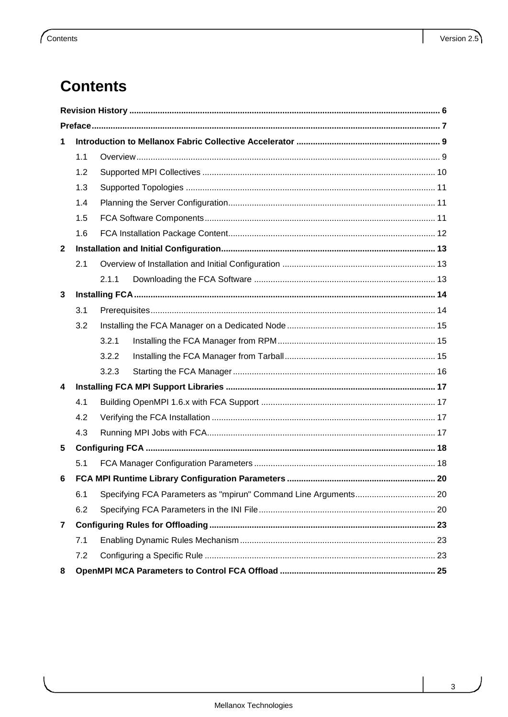## **Contents**

| 1            |     |       |                                                                 |  |  |
|--------------|-----|-------|-----------------------------------------------------------------|--|--|
|              | 1.1 |       |                                                                 |  |  |
|              | 1.2 |       |                                                                 |  |  |
|              | 1.3 |       |                                                                 |  |  |
|              | 1.4 |       |                                                                 |  |  |
|              | 1.5 |       |                                                                 |  |  |
|              | 1.6 |       |                                                                 |  |  |
| $\mathbf{2}$ |     |       |                                                                 |  |  |
|              | 2.1 |       |                                                                 |  |  |
|              |     | 2.1.1 |                                                                 |  |  |
| 3            |     |       |                                                                 |  |  |
|              | 3.1 |       |                                                                 |  |  |
|              | 3.2 |       |                                                                 |  |  |
|              |     | 3.2.1 |                                                                 |  |  |
|              |     | 3.2.2 |                                                                 |  |  |
|              |     | 3.2.3 |                                                                 |  |  |
| 4            |     |       |                                                                 |  |  |
|              | 4.1 |       |                                                                 |  |  |
|              | 4.2 |       |                                                                 |  |  |
|              | 4.3 |       |                                                                 |  |  |
| 5            |     |       |                                                                 |  |  |
|              | 5.1 |       |                                                                 |  |  |
| 6            |     |       |                                                                 |  |  |
|              | 6.1 |       | Specifying FCA Parameters as "mpirun" Command Line Arguments 20 |  |  |
|              | 6.2 |       |                                                                 |  |  |
| 7            |     |       |                                                                 |  |  |
|              | 7.1 |       |                                                                 |  |  |
|              | 7.2 |       |                                                                 |  |  |
| 8            |     |       |                                                                 |  |  |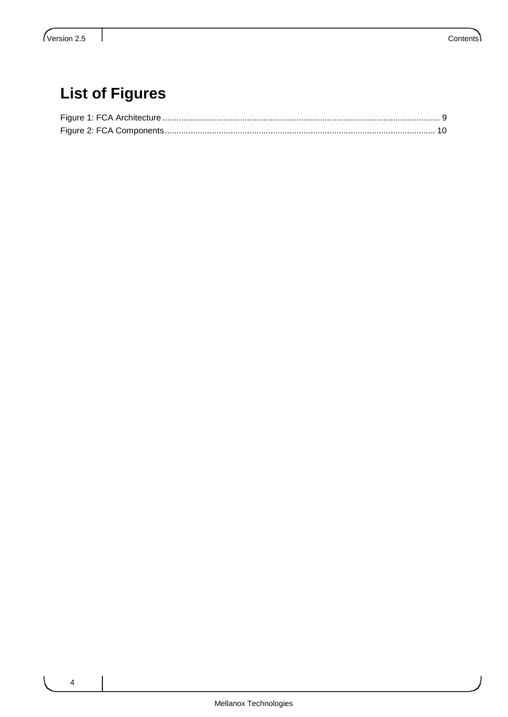## **List of Figures**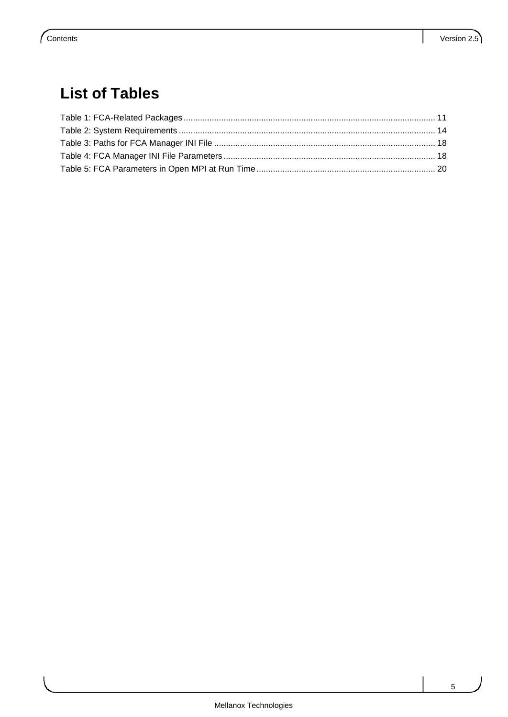## **List of Tables**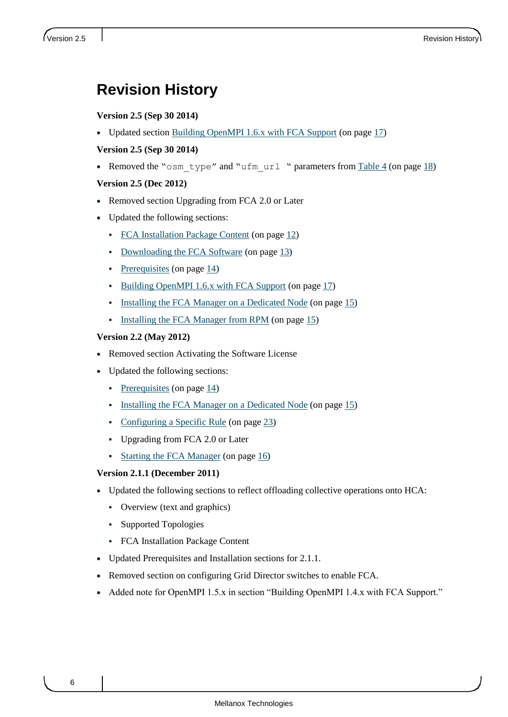## <span id="page-5-0"></span>**Revision History**

#### **Version 2.5 (Sep 30 2014)**

• Updated section [Building OpenMPI 1.6.x with FCA Support](#page-16-1) (on pag[e 17\)](#page-16-1)

#### **Version 2.5 (Sep 30 2014)**

• Removed the "osm\_type" and "ufm\_url " parameters from [Table 4](#page-17-3) (on page [18\)](#page-17-3)

#### **Version 2.5 (Dec 2012)**

- Removed section Upgrading from FCA 2.0 or Later
- Updated the following sections:
	- [FCA Installation Package Content](#page-11-0) (on page [12\)](#page-11-0)
	- [Downloading the FCA Software](#page-12-2) (on page [13\)](#page-12-2)
	- [Prerequisites](#page-13-1) (on page  $14$ )
	- [Building OpenMPI 1.6.x with FCA Support](#page-16-1) (on page [17\)](#page-16-1)
	- [Installing the FCA Manager on a Dedicated Node](#page-14-0) (on page [15\)](#page-14-0)
	- [Installing the FCA Manager from RPM](#page-14-1) (on page [15\)](#page-14-1)

#### **Version 2.2 (May 2012)**

- Removed section Activating the Software License
- Updated the following sections:
	- [Prerequisites](#page-13-1) (on page  $14$ )
	- [Installing the FCA Manager on a Dedicated Node](#page-14-0) (on page [15\)](#page-14-0)
	- [Configuring a Specific Rule](#page-22-2) (on page [23\)](#page-22-2)
	- Upgrading from FCA 2.0 or Later
	- [Starting the FCA Manager](#page-15-0) (on page [16\)](#page-15-0)

#### **Version 2.1.1 (December 2011)**

- Updated the following sections to reflect offloading collective operations onto HCA:
	- Overview (text and graphics)
	- Supported Topologies
	- FCA Installation Package Content
- Updated Prerequisites and Installation sections for 2.1.1.
- Removed section on configuring Grid Director switches to enable FCA.
- Added note for OpenMPI 1.5.x in section "Building OpenMPI 1.4.x with FCA Support."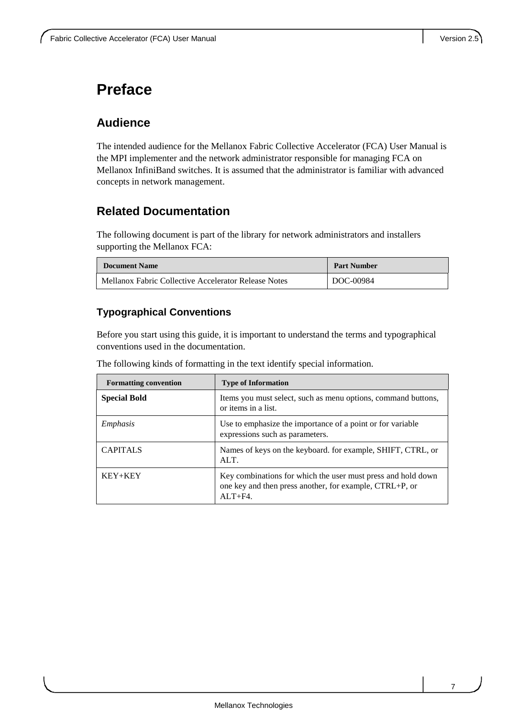## <span id="page-6-0"></span>**Preface**

## **Audience**

The intended audience for the Mellanox Fabric Collective Accelerator (FCA) User Manual is the MPI implementer and the network administrator responsible for managing FCA on Mellanox InfiniBand switches. It is assumed that the administrator is familiar with advanced concepts in network management.

## **Related Documentation**

The following document is part of the library for network administrators and installers supporting the Mellanox FCA:

| <b>Document Name</b>                                 | <b>Part Number</b> |
|------------------------------------------------------|--------------------|
| Mellanox Fabric Collective Accelerator Release Notes | DOC-00984          |

### **Typographical Conventions**

Before you start using this guide, it is important to understand the terms and typographical conventions used in the documentation.

The following kinds of formatting in the text identify special information.

| <b>Formatting convention</b> | <b>Type of Information</b>                                                                                                               |
|------------------------------|------------------------------------------------------------------------------------------------------------------------------------------|
| <b>Special Bold</b>          | Items you must select, such as menu options, command buttons,<br>or items in a list.                                                     |
| Emphasis                     | Use to emphasize the importance of a point or for variable<br>expressions such as parameters.                                            |
| <b>CAPITALS</b>              | Names of keys on the keyboard. for example, SHIFT, CTRL, or<br>$ATT$ .                                                                   |
| $KEY+KEY$                    | Key combinations for which the user must press and hold down<br>one key and then press another, for example, CTRL+P, or<br>$AI.T + F4$ . |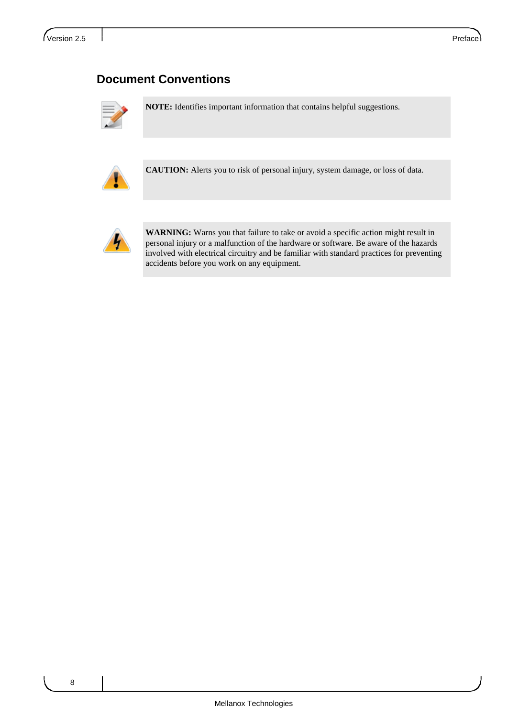## **Document Conventions**



**NOTE:** Identifies important information that contains helpful suggestions.



**CAUTION:** Alerts you to risk of personal injury, system damage, or loss of data.



**WARNING:** Warns you that failure to take or avoid a specific action might result in personal injury or a malfunction of the hardware or software. Be aware of the hazards involved with electrical circuitry and be familiar with standard practices for preventing accidents before you work on any equipment.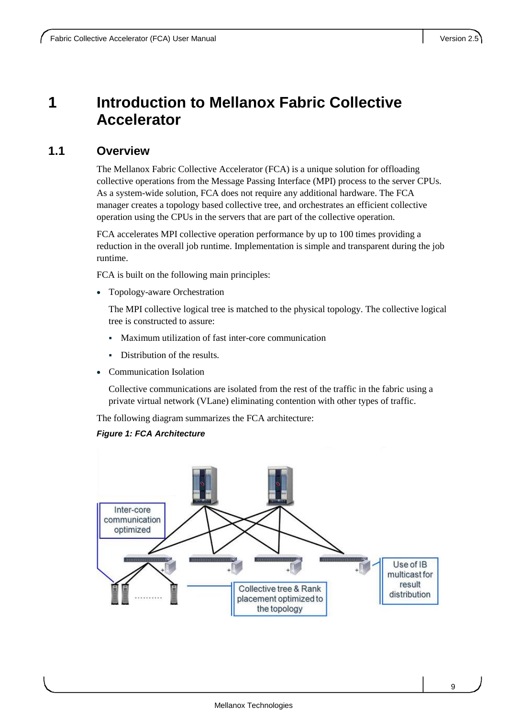## <span id="page-8-0"></span>**1 Introduction to Mellanox Fabric Collective Accelerator**

### <span id="page-8-1"></span>**1.1 Overview**

The Mellanox Fabric Collective Accelerator (FCA) is a unique solution for offloading collective operations from the Message Passing Interface (MPI) process to the server CPUs. As a system-wide solution, FCA does not require any additional hardware. The FCA manager creates a topology based collective tree, and orchestrates an efficient collective operation using the CPUs in the servers that are part of the collective operation.

FCA accelerates MPI collective operation performance by up to 100 times providing a reduction in the overall job runtime. Implementation is simple and transparent during the job runtime.

FCA is built on the following main principles:

Topology-aware Orchestration

The MPI collective logical tree is matched to the physical topology. The collective logical tree is constructed to assure:

- Maximum utilization of fast inter-core communication
- Distribution of the results.
- Communication Isolation

Collective communications are isolated from the rest of the traffic in the fabric using a private virtual network (VLane) eliminating contention with other types of traffic.

The following diagram summarizes the FCA architecture:

#### *Figure 1: FCA Architecture*

<span id="page-8-2"></span>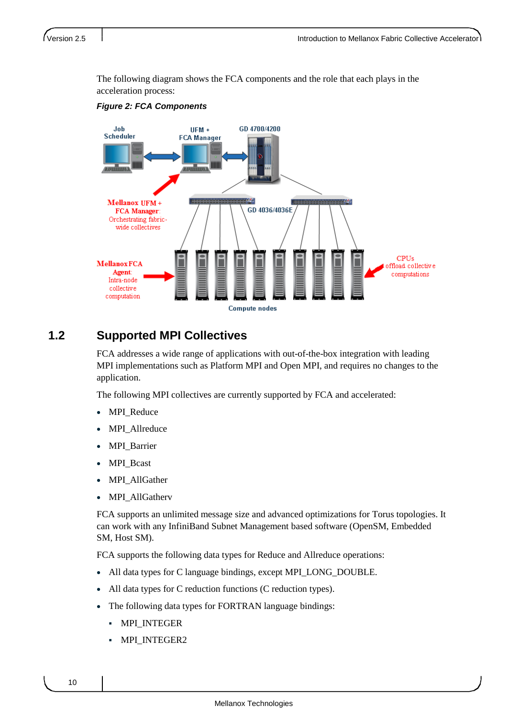The following diagram shows the FCA components and the role that each plays in the acceleration process:

<span id="page-9-1"></span>

#### *Figure 2: FCA Components*

### <span id="page-9-0"></span>**1.2 Supported MPI Collectives**

FCA addresses a wide range of applications with out-of-the-box integration with leading MPI implementations such as Platform MPI and Open MPI, and requires no changes to the application.

The following MPI collectives are currently supported by FCA and accelerated:

- MPI\_Reduce
- MPI\_Allreduce
- MPI\_Barrier
- MPI\_Bcast
- MPI\_AllGather
- MPI\_AllGatherv

FCA supports an unlimited message size and advanced optimizations for Torus topologies. It can work with any InfiniBand Subnet Management based software (OpenSM, Embedded SM, Host SM).

FCA supports the following data types for Reduce and Allreduce operations:

- All data types for C language bindings, except MPI\_LONG\_DOUBLE.
- All data types for C reduction functions (C reduction types).
- The following data types for FORTRAN language bindings:
	- MPI\_INTEGER
	- MPI\_INTEGER2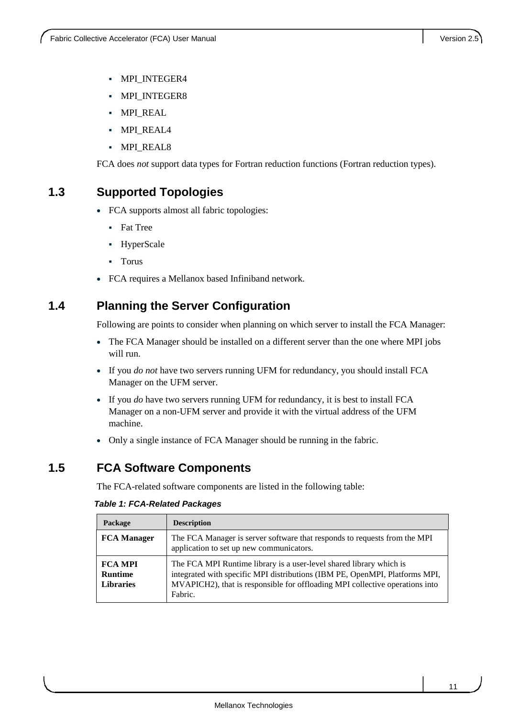- MPI\_INTEGER4
- **MPI\_INTEGER8**
- MPI\_REAL
- MPI\_REAL4
- MPI\_REAL8

FCA does *not* support data types for Fortran reduction functions (Fortran reduction types).

### <span id="page-10-0"></span>**1.3 Supported Topologies**

- FCA supports almost all fabric topologies:
	- **Fat Tree**
	- HyperScale
	- Torus
- FCA requires a Mellanox based Infiniband network.

## <span id="page-10-1"></span>**1.4 Planning the Server Configuration**

Following are points to consider when planning on which server to install the FCA Manager:

- The FCA Manager should be installed on a different server than the one where MPI jobs will run.
- If you *do not* have two servers running UFM for redundancy, you should install FCA Manager on the UFM server.
- If you *do* have two servers running UFM for redundancy, it is best to install FCA Manager on a non-UFM server and provide it with the virtual address of the UFM machine.
- Only a single instance of FCA Manager should be running in the fabric.

### <span id="page-10-2"></span>**1.5 FCA Software Components**

The FCA-related software components are listed in the following table:

| Package                                              | <b>Description</b>                                                                                                                                                                                                                            |
|------------------------------------------------------|-----------------------------------------------------------------------------------------------------------------------------------------------------------------------------------------------------------------------------------------------|
| <b>FCA Manager</b>                                   | The FCA Manager is server software that responds to requests from the MPI<br>application to set up new communicators.                                                                                                                         |
| <b>FCA MPI</b><br><b>Runtime</b><br><b>Libraries</b> | The FCA MPI Runtime library is a user-level shared library which is<br>integrated with specific MPI distributions (IBM PE, OpenMPI, Platforms MPI,<br>MVAPICH2), that is responsible for offloading MPI collective operations into<br>Fabric. |

#### <span id="page-10-3"></span>*Table 1: FCA-Related Packages*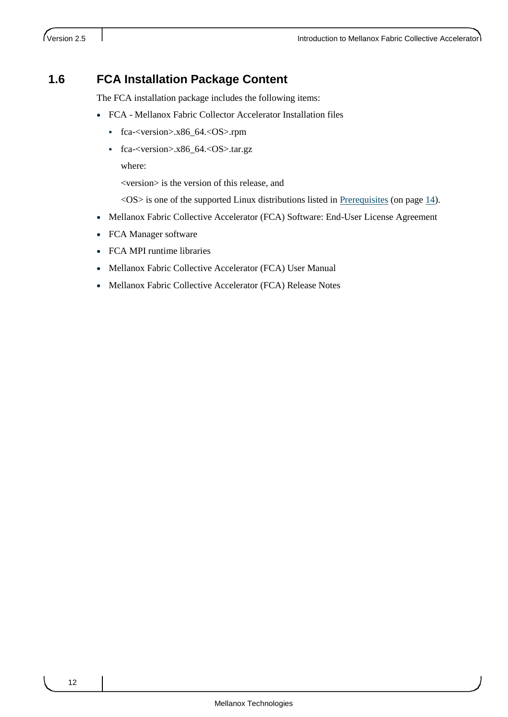## <span id="page-11-0"></span>**1.6 FCA Installation Package Content**

The FCA installation package includes the following items:

- FCA Mellanox Fabric Collector Accelerator Installation files
	- fca-<version>.x86\_64.<OS>.rpm
	- fca-<version>.x86\_64.<OS>.tar.gz

where:

<version> is the version of this release, and

<OS> is one of the supported Linux distributions listed in [Prerequisites](#page-13-1) (on page [14\)](#page-13-1).

- Mellanox Fabric Collective Accelerator (FCA) Software: End-User License Agreement
- FCA Manager software
- FCA MPI runtime libraries
- Mellanox Fabric Collective Accelerator (FCA) User Manual
- Mellanox Fabric Collective Accelerator (FCA) Release Notes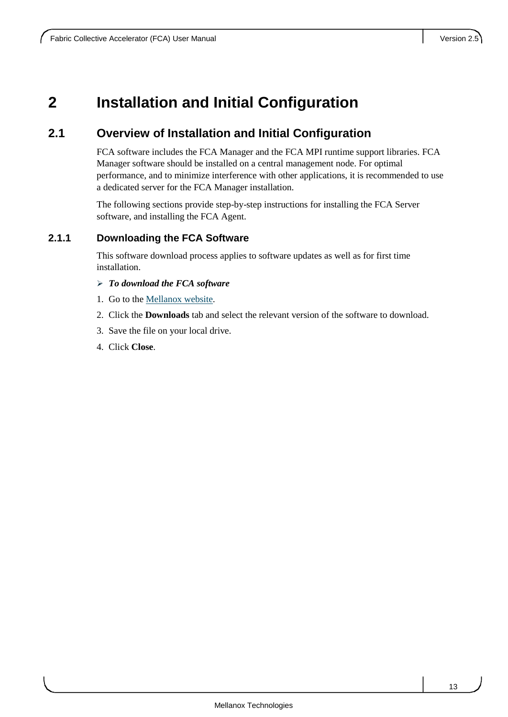## <span id="page-12-0"></span>**2 Installation and Initial Configuration**

## <span id="page-12-1"></span>**2.1 Overview of Installation and Initial Configuration**

FCA software includes the FCA Manager and the FCA MPI runtime support libraries. FCA Manager software should be installed on a central management node. For optimal performance, and to minimize interference with other applications, it is recommended to use a dedicated server for the FCA Manager installation.

The following sections provide step-by-step instructions for installing the FCA Server software, and installing the FCA Agent.

#### <span id="page-12-2"></span>**2.1.1 Downloading the FCA Software**

This software download process applies to software updates as well as for first time installation.

- *To download the FCA software*
- 1. Go to the [Mellanox website.](http://www.mellanox.com/content/pages.php?pg=products_dyn&product_family=104&menu_section=73)
- 2. Click the **Downloads** tab and select the relevant version of the software to download.
- 3. Save the file on your local drive.
- 4. Click **Close**.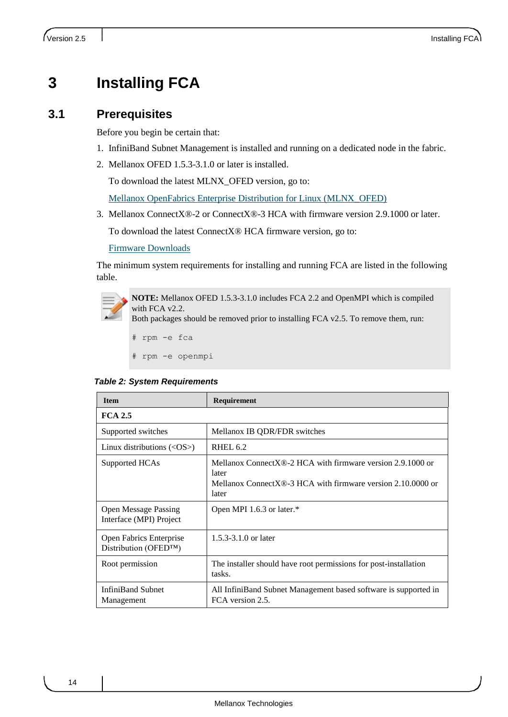## <span id="page-13-0"></span>**3 Installing FCA**

### <span id="page-13-1"></span>**3.1 Prerequisites**

Before you begin be certain that:

- 1. InfiniBand Subnet Management is installed and running on a dedicated node in the fabric.
- 2. Mellanox OFED 1.5.3-3.1.0 or later is installed.

To download the latest MLNX\_OFED version, go to:

[Mellanox OpenFabrics Enterprise Distribution for Linux \(MLNX\\_OFED\)](http://www.mellanox.com/content/pages.php?pg=firmware_download)

3. Mellanox ConnectX®-2 or ConnectX®-3 HCA with firmware version 2.9.1000 or later.

To download the latest ConnectX® HCA firmware version, go to:

[Firmware Downloads](http://www.mellanox.com/content/pages.php?pg=firmware_download)

The minimum system requirements for installing and running FCA are listed in the following table.



**NOTE:** Mellanox OFED 1.5.3-3.1.0 includes FCA 2.2 and OpenMPI which is compiled with FCA v2.2.

Both packages should be removed prior to installing FCA v2.5. To remove them, run:

```
# rpm -e fca
```
# rpm -e openmpi

<span id="page-13-2"></span>*Table 2: System Requirements*

| <b>Item</b>                                                          | <b>Requirement</b>                                                                                                                              |  |
|----------------------------------------------------------------------|-------------------------------------------------------------------------------------------------------------------------------------------------|--|
| <b>FCA 2.5</b>                                                       |                                                                                                                                                 |  |
| Supported switches                                                   | Mellanox IB QDR/FDR switches                                                                                                                    |  |
| Linux distributions $(<$ OS $>$ )                                    | <b>RHEL 6.2</b>                                                                                                                                 |  |
| Supported HCAs                                                       | Mellanox ConnectX $@$ -2 HCA with firmware version 2.9.1000 or<br>later<br>Mellanox ConnectX®-3 HCA with firmware version 2.10,0000 or<br>later |  |
| <b>Open Message Passing</b><br>Interface (MPI) Project               | Open MPI 1.6.3 or later.*                                                                                                                       |  |
| <b>Open Fabrics Enterprise</b><br>Distribution (OFED <sup>TM</sup> ) | $1.5.3 - 3.1.0$ or later                                                                                                                        |  |
| Root permission                                                      | The installer should have root permissions for post-installation<br>tasks.                                                                      |  |
| <b>InfiniBand Subnet</b><br>Management                               | All InfiniBand Subnet Management based software is supported in<br>FCA version 2.5.                                                             |  |

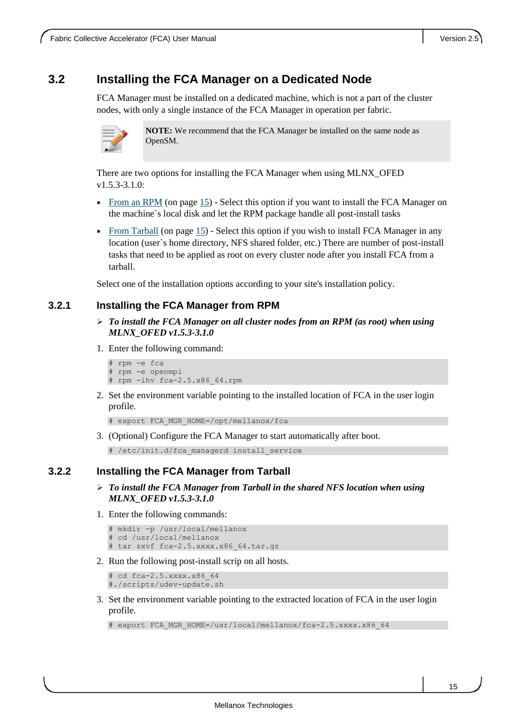### <span id="page-14-0"></span>**3.2 Installing the FCA Manager on a Dedicated Node**

FCA Manager must be installed on a dedicated machine, which is not a part of the cluster nodes, with only a single instance of the FCA Manager in operation per fabric.



**NOTE:** We recommend that the FCA Manager be installed on the same node as OpenSM.

There are two options for installing the FCA Manager when using MLNX\_OFED v1.5.3-3.1.0:

- [From an RPM](#page-14-1) (on page [15\)](#page-14-1) Select this option if you want to install the FCA Manager on the machine`s local disk and let the RPM package handle all post-install tasks
- [From Tarball](#page-14-2) (on page [15\)](#page-14-2) Select this option if you wish to install FCA Manager in any location (user`s home directory, NFS shared folder, etc.) There are number of post-install tasks that need to be applied as root on every cluster node after you install FCA from a tarball.

Select one of the installation options according to your site's installation policy.

#### <span id="page-14-1"></span>**3.2.1 Installing the FCA Manager from RPM**

- *To install the FCA Manager on all cluster nodes from an RPM (as root) when using MLNX\_OFED v1.5.3-3.1.0*
- 1. Enter the following command:

```
# rpm -e fca 
 rpm -e openmpi
# rpm -ihv fca-2.5.x86_64.rpm
```
2. Set the environment variable pointing to the installed location of FCA in the user login profile.

```
# export FCA_MGR_HOME=/opt/mellanox/fca
```
3. (Optional) Configure the FCA Manager to start automatically after boot.

# /etc/init.d/fca\_managerd install\_service

#### <span id="page-14-2"></span>**3.2.2 Installing the FCA Manager from Tarball**

- *To install the FCA Manager from Tarball in the shared NFS location when using MLNX\_OFED v1.5.3-3.1.0*
- 1. Enter the following commands:

```
# mkdir -p /usr/local/mellanox
 cd /usr/local/mellanox
# tar zxvf fca-2.5.xxxx.x86_64.tar.gz
```
2. Run the following post-install scrip on all hosts.

```
cd fca-2.5.xxxx.x86 64
#./scripts/udev-update.sh
```
3. Set the environment variable pointing to the extracted location of FCA in the user login profile.

```
# export FCA MGR HOME=/usr/local/mellanox/fca-2.5.xxxx.x86 64
```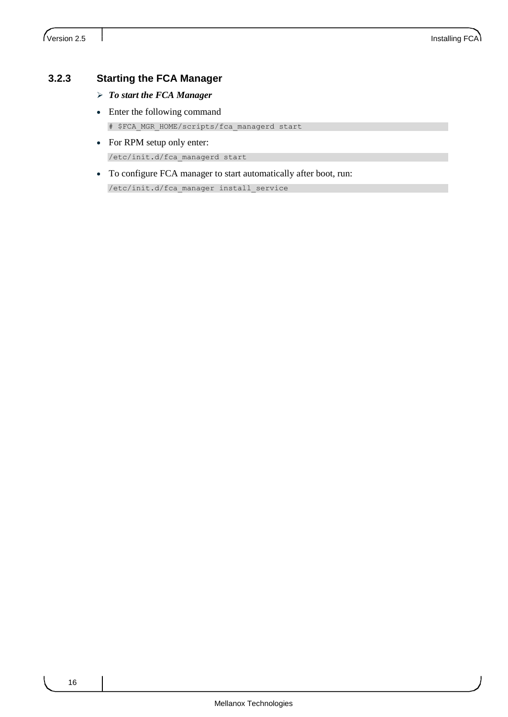#### <span id="page-15-0"></span>**3.2.3 Starting the FCA Manager**

- *To start the FCA Manager*
- Enter the following command # \$FCA\_MGR\_HOME/scripts/fca\_managerd start
- For RPM setup only enter: /etc/init.d/fca\_managerd start
- To configure FCA manager to start automatically after boot, run:

/etc/init.d/fca\_manager install\_service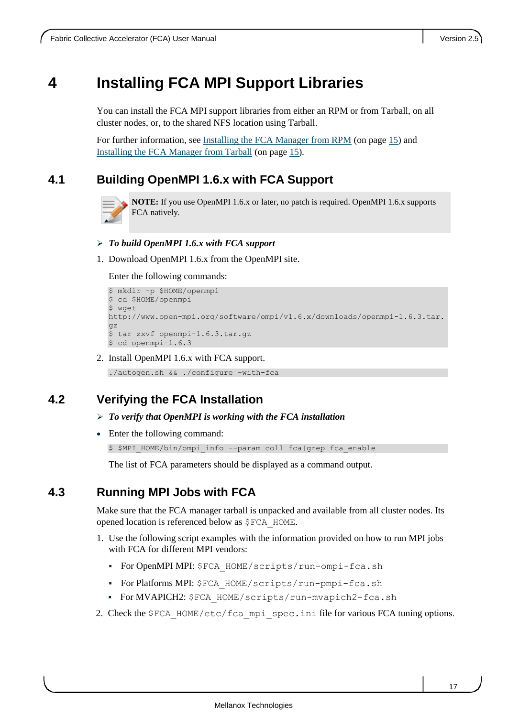## <span id="page-16-0"></span>**4 Installing FCA MPI Support Libraries**

You can install the FCA MPI support libraries from either an RPM or from Tarball, on all cluster nodes, or, to the shared NFS location using Tarball.

For further information, see [Installing the FCA Manager from RPM](#page-14-1) (on page [15\)](#page-14-1) and [Installing the FCA Manager from Tarball](#page-14-2) (on page [15\)](#page-14-2).

## <span id="page-16-1"></span>**4.1 Building OpenMPI 1.6.x with FCA Support**



**NOTE:** If you use OpenMPI 1.6.x or later, no patch is required. OpenMPI 1.6.x supports FCA natively.

#### *To build OpenMPI 1.6.x with FCA support*

1. Download OpenMPI 1.6.x from the OpenMPI site.

Enter the following commands:

```
$ mkdir -p $HOME/openmpi
$ cd $HOME/openmpi
$ wget
http://www.open-mpi.org/software/ompi/v1.6.x/downloads/openmpi-1.6.3.tar.
gz
$ tar zxvf openmpi-1.6.3.tar.gz
$ cd openmpi-1.6.3
```
2. Install OpenMPI 1.6.x with FCA support.

./autogen.sh && ./configure –with-fca

### <span id="page-16-2"></span>**4.2 Verifying the FCA Installation**

- *To verify that OpenMPI is working with the FCA installation*
- Enter the following command:

\$ \$MPI\_HOME/bin/ompi\_info --param coll fca|grep fca\_enable

The list of FCA parameters should be displayed as a command output.

### <span id="page-16-3"></span>**4.3 Running MPI Jobs with FCA**

Make sure that the FCA manager tarball is unpacked and available from all cluster nodes. Its opened location is referenced below as \$FCA\_HOME.

- 1. Use the following script examples with the information provided on how to run MPI jobs with FCA for different MPI vendors:
	- For OpenMPI MPI: \$FCA HOME/scripts/run-ompi-fca.sh
	- For Platforms MPI: \$FCA\_HOME/scripts/run-pmpi-fca.sh
	- For MVAPICH2: \$FCA\_HOME/scripts/run-mvapich2-fca.sh
- 2. Check the \$FCA\_HOME/etc/fca\_mpi\_spec.ini file for various FCA tuning options.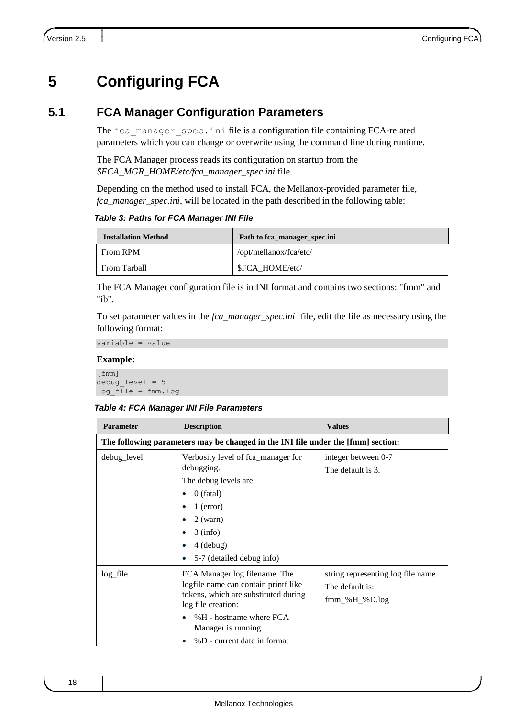## <span id="page-17-0"></span>**5 Configuring FCA**

### <span id="page-17-1"></span>**5.1 FCA Manager Configuration Parameters**

The fca\_manager\_spec.ini file is a configuration file containing FCA-related parameters which you can change or overwrite using the command line during runtime.

The FCA Manager process reads its configuration on startup from the *\$FCA\_MGR\_HOME/etc/fca\_manager\_spec.ini* file.

Depending on the method used to install FCA, the Mellanox-provided parameter file, *fca\_manager\_spec.ini*, will be located in the path described in the following table:

<span id="page-17-2"></span>*Table 3: Paths for FCA Manager INI File* 

| <b>Installation Method</b> | Path to fca_manager_spec.ini |
|----------------------------|------------------------------|
| From RPM                   | /opt/mellanox/fca/etc/       |
| From Tarball               | \$FCA HOME/etc/              |

The FCA Manager configuration file is in INI format and contains two sections: "fmm" and "ib".

To set parameter values in the *fca\_manager\_spec.ini* file, edit the file as necessary using the following format:

variable = value

#### **Example:**

```
[fmm]
debug_level = 5
log_file = fmm.log
```
#### <span id="page-17-3"></span>*Table 4: FCA Manager INI File Parameters*

| <b>Parameter</b> | <b>Description</b>                                                                                                                                                                                                  | <b>Values</b>                                                                 |  |  |
|------------------|---------------------------------------------------------------------------------------------------------------------------------------------------------------------------------------------------------------------|-------------------------------------------------------------------------------|--|--|
|                  | The following parameters may be changed in the INI file under the [fmm] section:                                                                                                                                    |                                                                               |  |  |
| debug_level      | Verbosity level of fca_manager for<br>debugging.<br>The debug levels are:<br>$0$ (fatal)<br>$1$ (error)<br>$2$ (warn)<br>$3$ (info)<br>$4$ (debug)<br>5-7 (detailed debug info)                                     | integer between 0-7<br>The default is 3.                                      |  |  |
| log_file         | FCA Manager log filename. The<br>logfile name can contain printf like<br>tokens, which are substituted during<br>log file creation:<br>%H - hostname where FCA<br>Manager is running<br>%D - current date in format | string representing log file name<br>The default is:<br>$fmm_{\&}H_{\&}D.log$ |  |  |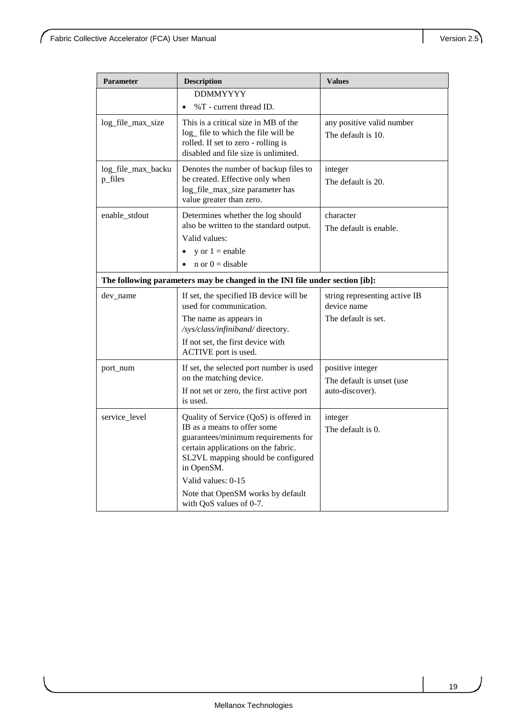| Parameter          | <b>Description</b>                                                          | <b>Values</b>                                |  |
|--------------------|-----------------------------------------------------------------------------|----------------------------------------------|--|
|                    | <b>DDMMYYYY</b>                                                             |                                              |  |
|                    | %T - current thread ID.                                                     |                                              |  |
| log_file_max_size  | This is a critical size in MB of the                                        | any positive valid number                    |  |
|                    | log_ file to which the file will be<br>rolled. If set to zero - rolling is  | The default is 10.                           |  |
|                    | disabled and file size is unlimited.                                        |                                              |  |
| log_file_max_backu | Denotes the number of backup files to                                       | integer                                      |  |
| p_files            | be created. Effective only when                                             | The default is 20.                           |  |
|                    | log_file_max_size parameter has<br>value greater than zero.                 |                                              |  |
| enable_stdout      | Determines whether the log should                                           | character                                    |  |
|                    | also be written to the standard output.                                     | The default is enable.                       |  |
|                    | Valid values:                                                               |                                              |  |
|                    | y or $1 =$ enable<br>$\bullet$<br>$n \text{ or } 0 = \text{disable}$        |                                              |  |
|                    |                                                                             |                                              |  |
|                    | The following parameters may be changed in the INI file under section [ib]: |                                              |  |
| dev name           | If set, the specified IB device will be<br>used for communication.          | string representing active IB<br>device name |  |
|                    | The name as appears in<br>/sys/class/infiniband/ directory.                 | The default is set.                          |  |
|                    | If not set, the first device with<br>ACTIVE port is used.                   |                                              |  |
| port_num           | If set, the selected port number is used                                    | positive integer                             |  |
|                    | on the matching device.                                                     | The default is unset (use                    |  |
|                    | If not set or zero, the first active port                                   | auto-discover).                              |  |
|                    | is used.                                                                    |                                              |  |
| service_level      | Quality of Service (QoS) is offered in<br>IB as a means to offer some       | integer                                      |  |
|                    | guarantees/minimum requirements for                                         | The default is 0.                            |  |
|                    | certain applications on the fabric.                                         |                                              |  |
|                    | SL2VL mapping should be configured<br>in OpenSM.                            |                                              |  |
|                    | Valid values: 0-15                                                          |                                              |  |
|                    | Note that OpenSM works by default<br>with QoS values of 0-7.                |                                              |  |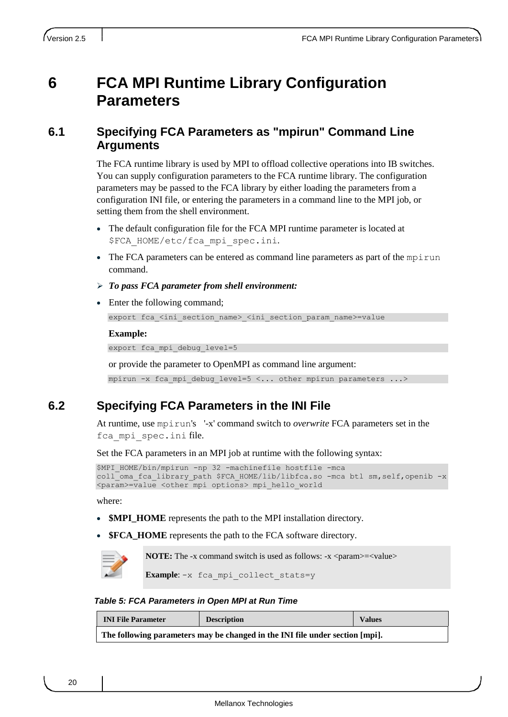## <span id="page-19-0"></span>**6 FCA MPI Runtime Library Configuration Parameters**

### <span id="page-19-1"></span>**6.1 Specifying FCA Parameters as "mpirun" Command Line Arguments**

The FCA runtime library is used by MPI to offload collective operations into IB switches. You can supply configuration parameters to the FCA runtime library. The configuration parameters may be passed to the FCA library by either loading the parameters from a configuration INI file, or entering the parameters in a command line to the MPI job, or setting them from the shell environment.

- The default configuration file for the FCA MPI runtime parameter is located at \$FCA\_HOME/etc/fca\_mpi\_spec.ini*.*
- $\bullet$  The FCA parameters can be entered as command line parameters as part of the mpirun command.
- *To pass FCA parameter from shell environment:*
- Enter the following command;

export fca <ini section name> <ini section param name>=value

#### **Example:**

export fca mpi debug level=5

or provide the parameter to OpenMPI as command line argument:

mpirun -x fca mpi debug level=5 <... other mpirun parameters  $\ldots$ >

### <span id="page-19-2"></span>**6.2 Specifying FCA Parameters in the INI File**

At runtime, use mpirun's '-x' command switch to *overwrite* FCA parameters set in the fca mpi spec.ini file.

Set the FCA parameters in an MPI job at runtime with the following syntax:

```
$MPI HOME/bin/mpirun -np 32 -machinefile hostfile -mca
coll oma fca library path $FCA HOME/lib/libfca.so -mca btl sm,self,openib -x
<param>=value <other mpi options> mpi_hello_world
```
where:

- **\$MPI\_HOME** represents the path to the MPI installation directory.
- **\$FCA\_HOME** represents the path to the FCA software directory.

**NOTE:** The -x command switch is used as follows: -x <param>=<value>

Example: -x fca mpi collect stats=y

<span id="page-19-3"></span>*Table 5: FCA Parameters in Open MPI at Run Time*

| <b>INI File Parameter</b>                                                    | <b>Description</b> | <b>Values</b> |  |
|------------------------------------------------------------------------------|--------------------|---------------|--|
| The following parameters may be changed in the INI file under section [mpi]. |                    |               |  |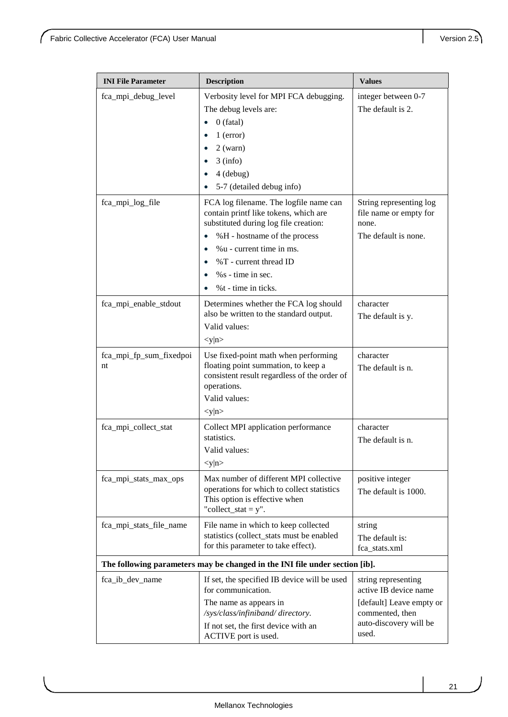| <b>INI File Parameter</b>                                                   | <b>Description</b>                                                                                                                                          | <b>Values</b>                                              |
|-----------------------------------------------------------------------------|-------------------------------------------------------------------------------------------------------------------------------------------------------------|------------------------------------------------------------|
| fca_mpi_debug_level                                                         | Verbosity level for MPI FCA debugging.                                                                                                                      | integer between 0-7                                        |
|                                                                             | The debug levels are:                                                                                                                                       | The default is 2.                                          |
|                                                                             | $0$ (fatal)                                                                                                                                                 |                                                            |
|                                                                             | $1$ (error)                                                                                                                                                 |                                                            |
|                                                                             | $2$ (warn)                                                                                                                                                  |                                                            |
|                                                                             | $3$ (info)                                                                                                                                                  |                                                            |
|                                                                             | 4 (debug)                                                                                                                                                   |                                                            |
|                                                                             | 5-7 (detailed debug info)                                                                                                                                   |                                                            |
| fca_mpi_log_file                                                            | FCA log filename. The logfile name can<br>contain printf like tokens, which are<br>substituted during log file creation:                                    | String representing log<br>file name or empty for<br>none. |
|                                                                             | %H - hostname of the process                                                                                                                                | The default is none.                                       |
|                                                                             | %u - current time in ms.                                                                                                                                    |                                                            |
|                                                                             | %T - current thread ID                                                                                                                                      |                                                            |
|                                                                             | $%s - time in sec.$                                                                                                                                         |                                                            |
|                                                                             | %t - time in ticks.                                                                                                                                         |                                                            |
| fca_mpi_enable_stdout                                                       | Determines whether the FCA log should                                                                                                                       | character                                                  |
|                                                                             | also be written to the standard output.                                                                                                                     | The default is y.                                          |
|                                                                             | Valid values:                                                                                                                                               |                                                            |
|                                                                             | < y   n                                                                                                                                                     |                                                            |
| fca_mpi_fp_sum_fixedpoi<br>nt                                               | Use fixed-point math when performing<br>floating point summation, to keep a<br>consistent result regardless of the order of<br>operations.<br>Valid values: | character<br>The default is n.                             |
|                                                                             | < y   n                                                                                                                                                     |                                                            |
| fca_mpi_collect_stat                                                        | Collect MPI application performance<br>statistics.<br>Valid values:<br>< y   n >                                                                            | character<br>The default is n.                             |
|                                                                             |                                                                                                                                                             |                                                            |
| fca_mpi_stats_max_ops                                                       | Max number of different MPI collective<br>operations for which to collect statistics<br>This option is effective when<br>"collect_stat = $y$ ".             | positive integer<br>The default is 1000.                   |
| fca_mpi_stats_file_name                                                     | File name in which to keep collected                                                                                                                        | string                                                     |
|                                                                             | statistics (collect_stats must be enabled                                                                                                                   | The default is:                                            |
|                                                                             | for this parameter to take effect).                                                                                                                         | fca stats.xml                                              |
| The following parameters may be changed in the INI file under section [ib]. |                                                                                                                                                             |                                                            |
| fca_ib_dev_name                                                             | If set, the specified IB device will be used<br>for communication.                                                                                          | string representing<br>active IB device name               |
|                                                                             | The name as appears in<br>/sys/class/infiniband/ directory.                                                                                                 | [default] Leave empty or<br>commented, then                |
|                                                                             | If not set, the first device with an<br>ACTIVE port is used.                                                                                                | auto-discovery will be<br>used.                            |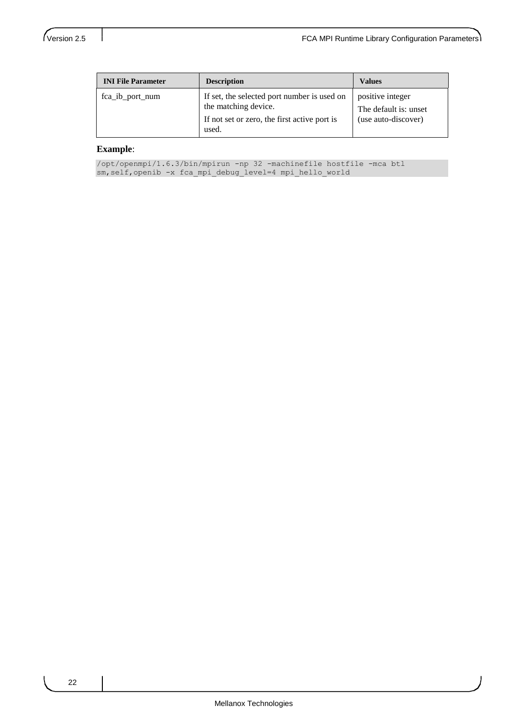| <b>INI File Parameter</b> | <b>Description</b>                                                                                                  | <b>Values</b>                                                    |
|---------------------------|---------------------------------------------------------------------------------------------------------------------|------------------------------------------------------------------|
| fca_ib_port_num           | If set, the selected port number is used on<br>the matching device.<br>If not set or zero, the first active port is | positive integer<br>The default is: unset<br>(use auto-discover) |
|                           | used.                                                                                                               |                                                                  |

#### **Example**:

/opt/openmpi/1.6.3/bin/mpirun -np 32 -machinefile hostfile -mca btl sm, self, openib -x fca mpi debug level=4 mpi hello world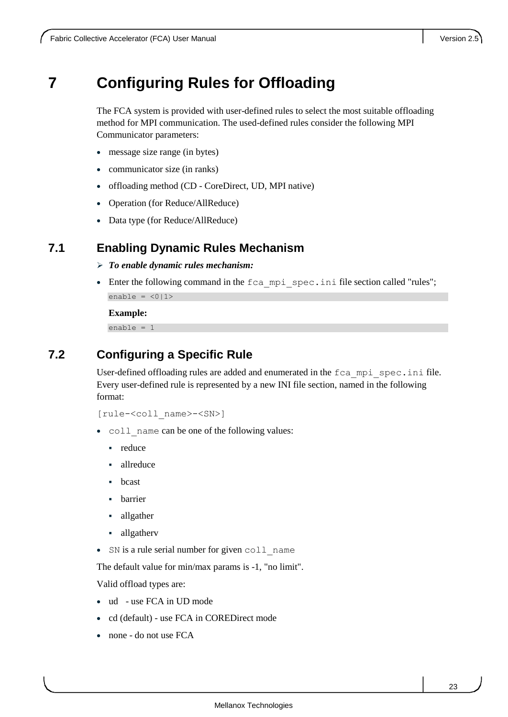## <span id="page-22-0"></span>**7 Configuring Rules for Offloading**

The FCA system is provided with user-defined rules to select the most suitable offloading method for MPI communication. The used-defined rules consider the following MPI Communicator parameters:

- message size range (in bytes)
- communicator size (in ranks)
- offloading method (CD CoreDirect, UD, MPI native)
- Operation (for Reduce/AllReduce)
- Data type (for Reduce/AllReduce)

#### <span id="page-22-1"></span>**7.1 Enabling Dynamic Rules Mechanism**

- *To enable dynamic rules mechanism:*
- Enter the following command in the fca\_mpi\_spec.ini file section called "rules"; enable =  $\langle 0|1 \rangle$

**Example:**

enable  $= 1$ 

### <span id="page-22-2"></span>**7.2 Configuring a Specific Rule**

User-defined offloading rules are added and enumerated in the  $fca$  mpi spec.ini file. Every user-defined rule is represented by a new INI file section, named in the following format:

[rule-<coll\_name>-<SN>]

- coll name can be one of the following values:
	- reduce
	- allreduce
	- bcast
	- **barrier**
	- allgather
	- allgatherv
- SN is a rule serial number for given coll name

The default value for min/max params is -1, "no limit".

Valid offload types are:

- ud use FCA in UD mode
- cd (default) use FCA in COREDirect mode
- none do not use FCA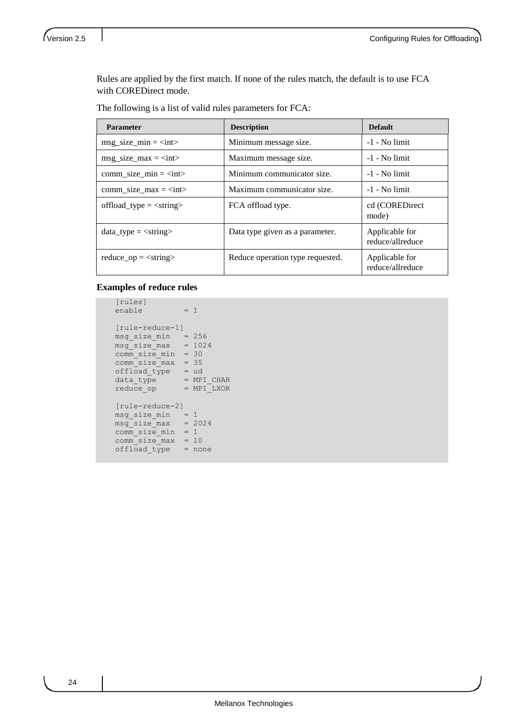Rules are applied by the first match. If none of the rules match, the default is to use FCA with COREDirect mode.

| <b>Parameter</b>                            | <b>Description</b>               | <b>Default</b>                     |
|---------------------------------------------|----------------------------------|------------------------------------|
| $msg\_size\_min = $                         | Minimum message size.            | $-1$ - No limit                    |
| $\text{msg\_size\_max} = \text{}$           | Maximum message size.            | $-1$ - No limit                    |
| $comm\_size\_min = $                        | Minimum communicator size.       | $-1$ - No limit                    |
| comm size max = $\langle$ int>              | Maximum communicator size.       | $-1$ - No limit                    |
| offload type $=$ $\langle$ string $\rangle$ | FCA offload type.                | cd (COREDirect<br>mode)            |
| data type $=$ $\langle$ string $\rangle$    | Data type given as a parameter.  | Applicable for<br>reduce/allreduce |
| reduce $op = \langle string \rangle$        | Reduce operation type requested. | Applicable for<br>reduce/allreduce |

#### **Examples of reduce rules**

```
 [rules]
   enable = 1
    [rule-reduce-1]
   msg_size_min = 256
msg size max = 1024
 comm_size_min = 30
 comm_size_max = 35
 offload_type = ud
data type = MPI CHAR
reduce op = MPI LXOR
    [rule-reduce-2]
  msg\_size\_min = 1msg\_size\_max = 2024
   comm size min = 1comm size max = 10
 offload_type = none
```